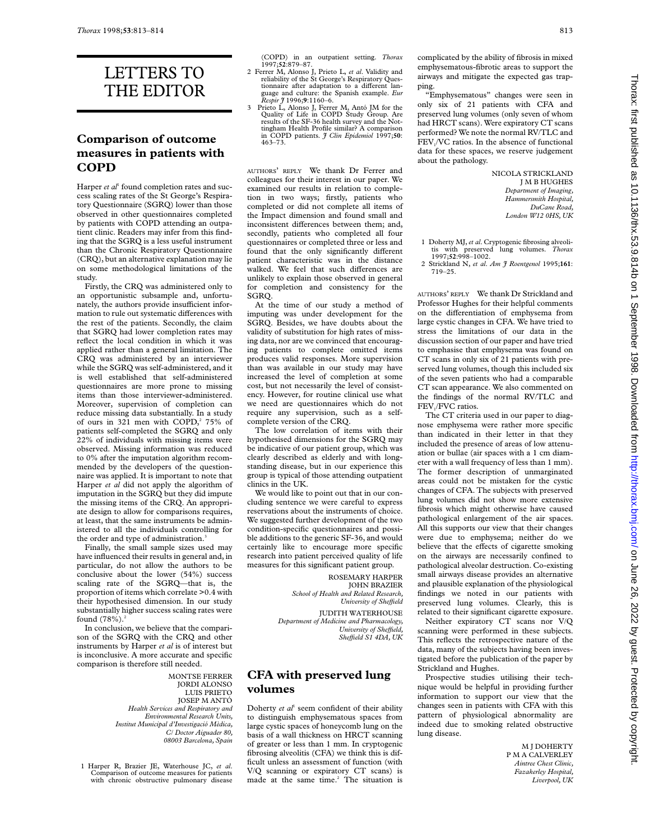# LETTERS TO THE EDITOR

#### **Comparison of outcome measures in patients with COPD**

Harper *et al*<sup>1</sup> found completion rates and success scaling rates of the St George's Respiratory Questionnaire (SGRQ) lower than those observed in other questionnaires completed by patients with COPD attending an outpatient clinic. Readers may infer from this finding that the SGRQ is a less useful instrument than the Chronic Respiratory Questionnaire (CRQ), but an alternative explanation may lie on some methodological limitations of the study.

Firstly, the CRQ was administered only to an opportunistic subsample and, unfortunately, the authors provide insufficient information to rule out systematic differences with the rest of the patients. Secondly, the claim that SGRQ had lower completion rates may reflect the local condition in which it was applied rather than a general limitation. The CRQ was administered by an interviewer while the SGRQ was self-administered, and it is well established that self-administered questionnaires are more prone to missing items than those interviewer-administered. Moreover, supervision of completion can reduce missing data substantially. In a study of ours in 321 men with COPD,<sup>2</sup> 75% of patients self-completed the SGRQ and only 22% of individuals with missing items were observed. Missing information was reduced to 0% after the imputation algorithm recommended by the developers of the questionnaire was applied. It is important to note that Harper *et al* did not apply the algorithm of imputation in the SGRQ but they did impute the missing items of the CRQ. An appropriate design to allow for comparisons requires, at least, that the same instruments be administered to all the individuals controlling for the order and type of administration.<sup>3</sup>

Finally, the small sample sizes used may have influenced their results in general and, in particular, do not allow the authors to be conclusive about the lower (54%) success scaling rate of the SGRQ—that is, the proportion of items which correlate >0.4 with their hypothesised dimension. In our study substantially higher success scaling rates were found  $(78%)$ .<sup>2</sup>

In conclusion, we believe that the comparison of the SGRQ with the CRQ and other instruments by Harper *et al* is of interest but is inconclusive. A more accurate and specific comparison is therefore still needed.

> MONTSE FERRER JORDI ALONSO LUIS PRIETO JOSEP M ANTÓ *Health Services and Respiratory and Environmental Research Units, Institut Municipal d'Investigació Mèdica, C/ Doctor Aiguader 80, 08003 Barcelona, Spain*

1 Harper R, Brazier JE, Waterhouse JC, *et al*. Comparison of outcome measures for patients with chronic obstructive pulmonary disease (COPD) in an outpatient setting. *Thorax* 1997;**52**:879–87.

- 2 Ferrer M, Alonso J, Prieto L, *et al*. Validity and reliability of the St George's Respiratory Questionnaire after adaptation to a different language and culture: the Spanish example. *Eur Respir J* 1996;**9**:1160–6.
- 3 Prieto L, Alonso J, Ferrer M, Antó JM for the Quality of Life in COPD Study Group. Are results of the SF-36 health survey and the Not-tingham Health Profile similar? A comparison in COPD patients. *J Clin Epidemiol* 1997;**50**: 463–73.

AUTHORS' REPLY We thank Dr Ferrer and colleagues for their interest in our paper. We examined our results in relation to completion in two ways; firstly, patients who completed or did not complete all items of the Impact dimension and found small and inconsistent differences between them; and, secondly, patients who completed all four questionnaires or completed three or less and found that the only significantly different patient characteristic was in the distance walked. We feel that such differences are unlikely to explain those observed in general for completion and consistency for the SGRQ.

At the time of our study a method of imputing was under development for the SGRQ. Besides, we have doubts about the validity of substitution for high rates of missing data, nor are we convinced that encouraging patients to complete omitted items produces valid responses. More supervision than was available in our study may have increased the level of completion at some cost, but not necessarily the level of consistency. However, for routine clinical use what we need are questionnaires which do not require any supervision, such as a selfcomplete version of the CRQ.

The low correlation of items with their hypothesised dimensions for the SGRQ may be indicative of our patient group, which was clearly described as elderly and with longstanding disease, but in our experience this group is typical of those attending outpatient clinics in the UK.

We would like to point out that in our concluding sentence we were careful to express reservations about the instruments of choice. We suggested further development of the two condition-specific questionnaires and possible additions to the generic SF-36, and would certainly like to encourage more specific research into patient perceived quality of life measures for this significant patient group.

> ROSEMARY HARPER JOHN BRAZIER *School of Health and Related Research, University of SheYeld*

JUDITH WATERHOUSE *Department of Medicine and Pharmacology, University of SheYeld, SheYeld S1 4DA, UK*

#### **CFA with preserved lung volumes**

Doherty *et al*<sup>1</sup> seem confident of their ability to distinguish emphysematous spaces from large cystic spaces of honeycomb lung on the basis of a wall thickness on HRCT scanning of greater or less than 1 mm. In cryptogenic fibrosing alveolitis (CFA) we think this is difficult unless an assessment of function (with V/Q scanning or expiratory CT scans) is made at the same time.<sup>2</sup> The situation is

complicated by the ability of fibrosis in mixed emphysematous-fibrotic areas to support the airways and mitigate the expected gas trapping.

"Emphysematous" changes were seen in only six of 21 patients with CFA and preserved lung volumes (only seven of whom had HRCT scans). Were expiratory CT scans performed? We note the normal RV/TLC and FEV<sub>1</sub>/VC ratios. In the absence of functional data for these spaces, we reserve judgement about the pathology.

> NICOLA STRICKLAND J M B HUGHES *Department of Imaging, Hammersmith Hospital, DuCane Road, London W12 0HS, UK*

- 1 Doherty MJ, *et al*. Cryptogenic fibrosing alveoli-tis with preserved lung volumes. *Thorax* 1997;**52**:998–1002.
- 2 Strickland N, *et al*. *Am J Roentgenol* 1995;**161**: 719–25.

AUTHORS' REPLY We thank Dr Strickland and Professor Hughes for their helpful comments on the differentiation of emphysema from large cystic changes in CFA. We have tried to stress the limitations of our data in the discussion section of our paper and have tried to emphasise that emphysema was found on CT scans in only six of 21 patients with preserved lung volumes, though this included six of the seven patients who had a comparable CT scan appearance. We also commented on the findings of the normal RV/TLC and FEV<sub>1</sub>/FVC ratios.

The CT criteria used in our paper to diagnose emphysema were rather more specific than indicated in their letter in that they included the presence of areas of low attenuation or bullae (air spaces with a 1 cm diameter with a wall frequency of less than 1 mm). The former description of unmarginated areas could not be mistaken for the cystic changes of CFA. The subjects with preserved lung volumes did not show more extensive fibrosis which might otherwise have caused pathological enlargement of the air spaces. All this supports our view that their changes were due to emphysema; neither do we believe that the effects of cigarette smoking on the airways are necessarily confined to pathological alveolar destruction. Co-existing small airways disease provides an alternative and plausible explanation of the physiological findings we noted in our patients with preserved lung volumes. Clearly, this is related to their significant cigarette exposure.

Neither expiratory CT scans nor V/Q scanning were performed in these subjects. This reflects the retrospective nature of the data, many of the subjects having been investigated before the publication of the paper by Strickland and Hughes.

Prospective studies utilising their technique would be helpful in providing further information to support our view that the changes seen in patients with CFA with this pattern of physiological abnormality are indeed due to smoking related obstructive lung disease.

> M J DOHERTY P M A CALVERLEY *Aintree Chest Clinic, Fazakerley Hospital, Liverpool, UK*